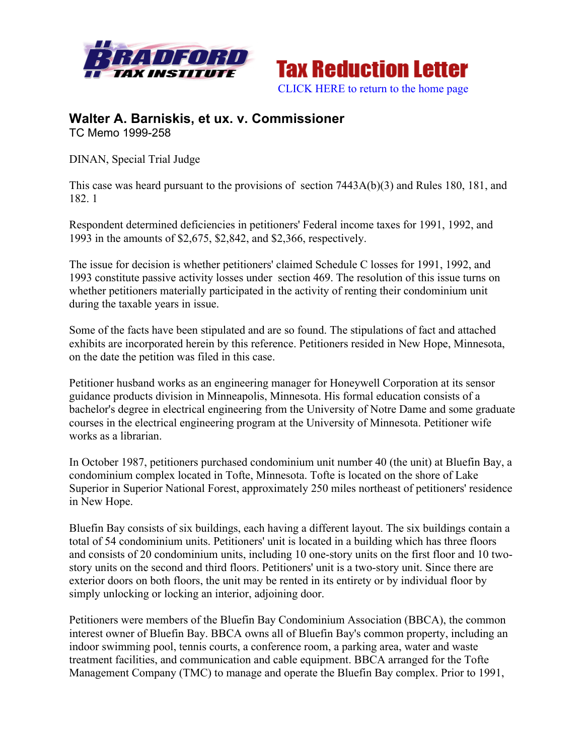



## **Walter A. Barniskis, et ux. v. Commissioner** TC Memo 1999-258

DINAN, Special Trial Judge

This case was heard pursuant to the provisions of section 7443A(b)(3) and Rules 180, 181, and 182. 1

Respondent determined deficiencies in petitioners' Federal income taxes for 1991, 1992, and 1993 in the amounts of \$2,675, \$2,842, and \$2,366, respectively.

The issue for decision is whether petitioners' claimed Schedule C losses for 1991, 1992, and 1993 constitute passive activity losses under section 469. The resolution of this issue turns on whether petitioners materially participated in the activity of renting their condominium unit during the taxable years in issue.

Some of the facts have been stipulated and are so found. The stipulations of fact and attached exhibits are incorporated herein by this reference. Petitioners resided in New Hope, Minnesota, on the date the petition was filed in this case.

Petitioner husband works as an engineering manager for Honeywell Corporation at its sensor guidance products division in Minneapolis, Minnesota. His formal education consists of a bachelor's degree in electrical engineering from the University of Notre Dame and some graduate courses in the electrical engineering program at the University of Minnesota. Petitioner wife works as a librarian.

In October 1987, petitioners purchased condominium unit number 40 (the unit) at Bluefin Bay, a condominium complex located in Tofte, Minnesota. Tofte is located on the shore of Lake Superior in Superior National Forest, approximately 250 miles northeast of petitioners' residence in New Hope.

Bluefin Bay consists of six buildings, each having a different layout. The six buildings contain a total of 54 condominium units. Petitioners' unit is located in a building which has three floors and consists of 20 condominium units, including 10 one-story units on the first floor and 10 twostory units on the second and third floors. Petitioners' unit is a two-story unit. Since there are exterior doors on both floors, the unit may be rented in its entirety or by individual floor by simply unlocking or locking an interior, adjoining door.

Petitioners were members of the Bluefin Bay Condominium Association (BBCA), the common interest owner of Bluefin Bay. BBCA owns all of Bluefin Bay's common property, including an indoor swimming pool, tennis courts, a conference room, a parking area, water and waste treatment facilities, and communication and cable equipment. BBCA arranged for the Tofte Management Company (TMC) to manage and operate the Bluefin Bay complex. Prior to 1991,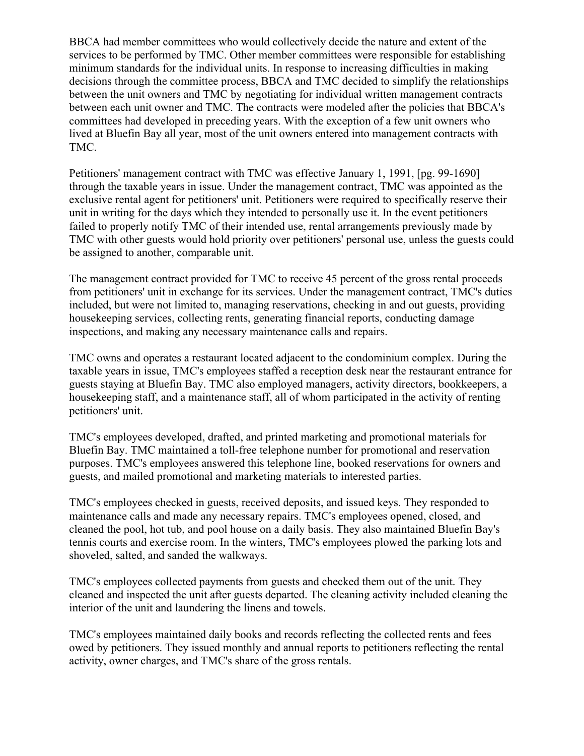BBCA had member committees who would collectively decide the nature and extent of the services to be performed by TMC. Other member committees were responsible for establishing minimum standards for the individual units. In response to increasing difficulties in making decisions through the committee process, BBCA and TMC decided to simplify the relationships between the unit owners and TMC by negotiating for individual written management contracts between each unit owner and TMC. The contracts were modeled after the policies that BBCA's committees had developed in preceding years. With the exception of a few unit owners who lived at Bluefin Bay all year, most of the unit owners entered into management contracts with TMC.

Petitioners' management contract with TMC was effective January 1, 1991, [pg. 99-1690] through the taxable years in issue. Under the management contract, TMC was appointed as the exclusive rental agent for petitioners' unit. Petitioners were required to specifically reserve their unit in writing for the days which they intended to personally use it. In the event petitioners failed to properly notify TMC of their intended use, rental arrangements previously made by TMC with other guests would hold priority over petitioners' personal use, unless the guests could be assigned to another, comparable unit.

The management contract provided for TMC to receive 45 percent of the gross rental proceeds from petitioners' unit in exchange for its services. Under the management contract, TMC's duties included, but were not limited to, managing reservations, checking in and out guests, providing housekeeping services, collecting rents, generating financial reports, conducting damage inspections, and making any necessary maintenance calls and repairs.

TMC owns and operates a restaurant located adjacent to the condominium complex. During the taxable years in issue, TMC's employees staffed a reception desk near the restaurant entrance for guests staying at Bluefin Bay. TMC also employed managers, activity directors, bookkeepers, a housekeeping staff, and a maintenance staff, all of whom participated in the activity of renting petitioners' unit.

TMC's employees developed, drafted, and printed marketing and promotional materials for Bluefin Bay. TMC maintained a toll-free telephone number for promotional and reservation purposes. TMC's employees answered this telephone line, booked reservations for owners and guests, and mailed promotional and marketing materials to interested parties.

TMC's employees checked in guests, received deposits, and issued keys. They responded to maintenance calls and made any necessary repairs. TMC's employees opened, closed, and cleaned the pool, hot tub, and pool house on a daily basis. They also maintained Bluefin Bay's tennis courts and exercise room. In the winters, TMC's employees plowed the parking lots and shoveled, salted, and sanded the walkways.

TMC's employees collected payments from guests and checked them out of the unit. They cleaned and inspected the unit after guests departed. The cleaning activity included cleaning the interior of the unit and laundering the linens and towels.

TMC's employees maintained daily books and records reflecting the collected rents and fees owed by petitioners. They issued monthly and annual reports to petitioners reflecting the rental activity, owner charges, and TMC's share of the gross rentals.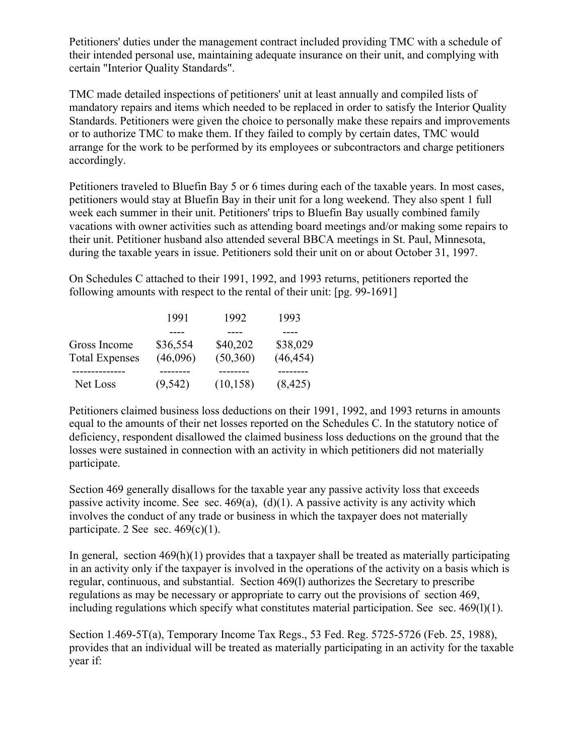Petitioners' duties under the management contract included providing TMC with a schedule of their intended personal use, maintaining adequate insurance on their unit, and complying with certain "Interior Quality Standards".

TMC made detailed inspections of petitioners' unit at least annually and compiled lists of mandatory repairs and items which needed to be replaced in order to satisfy the Interior Quality Standards. Petitioners were given the choice to personally make these repairs and improvements or to authorize TMC to make them. If they failed to comply by certain dates, TMC would arrange for the work to be performed by its employees or subcontractors and charge petitioners accordingly.

Petitioners traveled to Bluefin Bay 5 or 6 times during each of the taxable years. In most cases, petitioners would stay at Bluefin Bay in their unit for a long weekend. They also spent 1 full week each summer in their unit. Petitioners' trips to Bluefin Bay usually combined family vacations with owner activities such as attending board meetings and/or making some repairs to their unit. Petitioner husband also attended several BBCA meetings in St. Paul, Minnesota, during the taxable years in issue. Petitioners sold their unit on or about October 31, 1997.

On Schedules C attached to their 1991, 1992, and 1993 returns, petitioners reported the following amounts with respect to the rental of their unit: [pg. 99-1691]

|                       | 1991     | 1992      | 1993      |
|-----------------------|----------|-----------|-----------|
|                       |          |           |           |
| Gross Income          | \$36,554 | \$40,202  | \$38,029  |
| <b>Total Expenses</b> | (46,096) | (50, 360) | (46, 454) |
|                       |          |           |           |
| Net Loss              | (9, 542) | (10, 158) | (8, 425)  |

Petitioners claimed business loss deductions on their 1991, 1992, and 1993 returns in amounts equal to the amounts of their net losses reported on the Schedules C. In the statutory notice of deficiency, respondent disallowed the claimed business loss deductions on the ground that the losses were sustained in connection with an activity in which petitioners did not materially participate.

Section 469 generally disallows for the taxable year any passive activity loss that exceeds passive activity income. See sec.  $469(a)$ ,  $(d)(1)$ . A passive activity is any activity which involves the conduct of any trade or business in which the taxpayer does not materially participate. 2 See sec.  $469(c)(1)$ .

In general, section  $469(h)(1)$  provides that a taxpayer shall be treated as materially participating in an activity only if the taxpayer is involved in the operations of the activity on a basis which is regular, continuous, and substantial. Section 469(l) authorizes the Secretary to prescribe regulations as may be necessary or appropriate to carry out the provisions of section 469, including regulations which specify what constitutes material participation. See sec.  $469(1)(1)$ .

Section 1.469-5T(a), Temporary Income Tax Regs., 53 Fed. Reg. 5725-5726 (Feb. 25, 1988), provides that an individual will be treated as materially participating in an activity for the taxable year if: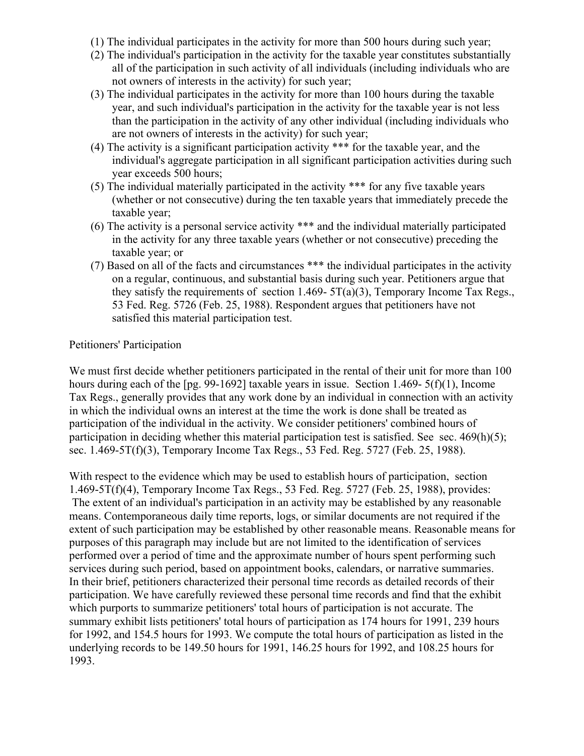- (1) The individual participates in the activity for more than 500 hours during such year;
- (2) The individual's participation in the activity for the taxable year constitutes substantially all of the participation in such activity of all individuals (including individuals who are not owners of interests in the activity) for such year;
- (3) The individual participates in the activity for more than 100 hours during the taxable year, and such individual's participation in the activity for the taxable year is not less than the participation in the activity of any other individual (including individuals who are not owners of interests in the activity) for such year;
- (4) The activity is a significant participation activity \*\*\* for the taxable year, and the individual's aggregate participation in all significant participation activities during such year exceeds 500 hours;
- (5) The individual materially participated in the activity \*\*\* for any five taxable years (whether or not consecutive) during the ten taxable years that immediately precede the taxable year;
- (6) The activity is a personal service activity \*\*\* and the individual materially participated in the activity for any three taxable years (whether or not consecutive) preceding the taxable year; or
- (7) Based on all of the facts and circumstances \*\*\* the individual participates in the activity on a regular, continuous, and substantial basis during such year. Petitioners argue that they satisfy the requirements of section 1.469-  $5T(a)(3)$ , Temporary Income Tax Regs., 53 Fed. Reg. 5726 (Feb. 25, 1988). Respondent argues that petitioners have not satisfied this material participation test.

## Petitioners' Participation

We must first decide whether petitioners participated in the rental of their unit for more than 100 hours during each of the [pg. 99-1692] taxable years in issue. Section 1.469- 5(f)(1), Income Tax Regs., generally provides that any work done by an individual in connection with an activity in which the individual owns an interest at the time the work is done shall be treated as participation of the individual in the activity. We consider petitioners' combined hours of participation in deciding whether this material participation test is satisfied. See sec.  $469(h)(5)$ ; sec. 1.469-5T(f)(3), Temporary Income Tax Regs., 53 Fed. Reg. 5727 (Feb. 25, 1988).

With respect to the evidence which may be used to establish hours of participation, section 1.469-5T(f)(4), Temporary Income Tax Regs., 53 Fed. Reg. 5727 (Feb. 25, 1988), provides: The extent of an individual's participation in an activity may be established by any reasonable means. Contemporaneous daily time reports, logs, or similar documents are not required if the extent of such participation may be established by other reasonable means. Reasonable means for purposes of this paragraph may include but are not limited to the identification of services performed over a period of time and the approximate number of hours spent performing such services during such period, based on appointment books, calendars, or narrative summaries. In their brief, petitioners characterized their personal time records as detailed records of their participation. We have carefully reviewed these personal time records and find that the exhibit which purports to summarize petitioners' total hours of participation is not accurate. The summary exhibit lists petitioners' total hours of participation as 174 hours for 1991, 239 hours for 1992, and 154.5 hours for 1993. We compute the total hours of participation as listed in the underlying records to be 149.50 hours for 1991, 146.25 hours for 1992, and 108.25 hours for 1993.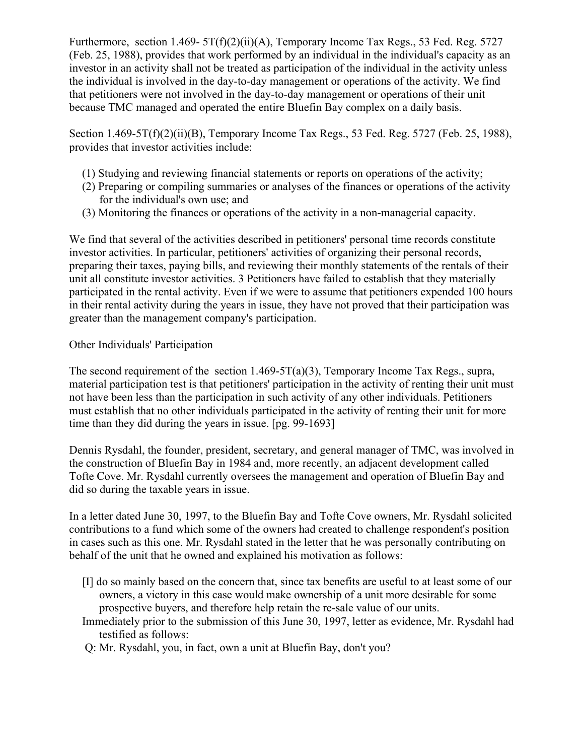Furthermore, section 1.469-  $5T(f)(2)(ii)(A)$ , Temporary Income Tax Regs., 53 Fed. Reg. 5727 (Feb. 25, 1988), provides that work performed by an individual in the individual's capacity as an investor in an activity shall not be treated as participation of the individual in the activity unless the individual is involved in the day-to-day management or operations of the activity. We find that petitioners were not involved in the day-to-day management or operations of their unit because TMC managed and operated the entire Bluefin Bay complex on a daily basis.

Section 1.469-5T(f)(2)(ii)(B), Temporary Income Tax Regs., 53 Fed. Reg. 5727 (Feb. 25, 1988), provides that investor activities include:

- (1) Studying and reviewing financial statements or reports on operations of the activity;
- (2) Preparing or compiling summaries or analyses of the finances or operations of the activity for the individual's own use; and
- (3) Monitoring the finances or operations of the activity in a non-managerial capacity.

We find that several of the activities described in petitioners' personal time records constitute investor activities. In particular, petitioners' activities of organizing their personal records, preparing their taxes, paying bills, and reviewing their monthly statements of the rentals of their unit all constitute investor activities. 3 Petitioners have failed to establish that they materially participated in the rental activity. Even if we were to assume that petitioners expended 100 hours in their rental activity during the years in issue, they have not proved that their participation was greater than the management company's participation.

## Other Individuals' Participation

The second requirement of the section  $1.469-5T(a)(3)$ , Temporary Income Tax Regs., supra, material participation test is that petitioners' participation in the activity of renting their unit must not have been less than the participation in such activity of any other individuals. Petitioners must establish that no other individuals participated in the activity of renting their unit for more time than they did during the years in issue. [pg. 99-1693]

Dennis Rysdahl, the founder, president, secretary, and general manager of TMC, was involved in the construction of Bluefin Bay in 1984 and, more recently, an adjacent development called Tofte Cove. Mr. Rysdahl currently oversees the management and operation of Bluefin Bay and did so during the taxable years in issue.

In a letter dated June 30, 1997, to the Bluefin Bay and Tofte Cove owners, Mr. Rysdahl solicited contributions to a fund which some of the owners had created to challenge respondent's position in cases such as this one. Mr. Rysdahl stated in the letter that he was personally contributing on behalf of the unit that he owned and explained his motivation as follows:

- [I] do so mainly based on the concern that, since tax benefits are useful to at least some of our owners, a victory in this case would make ownership of a unit more desirable for some prospective buyers, and therefore help retain the re-sale value of our units.
- Immediately prior to the submission of this June 30, 1997, letter as evidence, Mr. Rysdahl had testified as follows:
- Q: Mr. Rysdahl, you, in fact, own a unit at Bluefin Bay, don't you?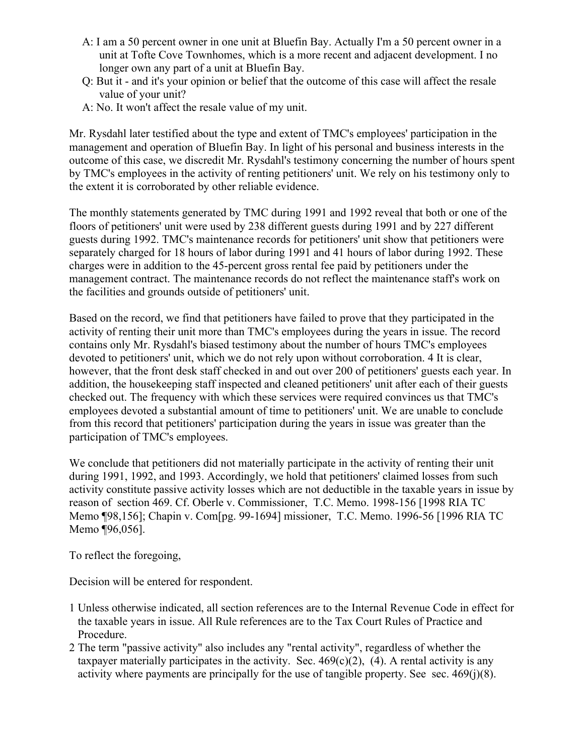- A: I am a 50 percent owner in one unit at Bluefin Bay. Actually I'm a 50 percent owner in a unit at Tofte Cove Townhomes, which is a more recent and adjacent development. I no longer own any part of a unit at Bluefin Bay.
- Q: But it and it's your opinion or belief that the outcome of this case will affect the resale value of your unit?
- A: No. It won't affect the resale value of my unit.

Mr. Rysdahl later testified about the type and extent of TMC's employees' participation in the management and operation of Bluefin Bay. In light of his personal and business interests in the outcome of this case, we discredit Mr. Rysdahl's testimony concerning the number of hours spent by TMC's employees in the activity of renting petitioners' unit. We rely on his testimony only to the extent it is corroborated by other reliable evidence.

The monthly statements generated by TMC during 1991 and 1992 reveal that both or one of the floors of petitioners' unit were used by 238 different guests during 1991 and by 227 different guests during 1992. TMC's maintenance records for petitioners' unit show that petitioners were separately charged for 18 hours of labor during 1991 and 41 hours of labor during 1992. These charges were in addition to the 45-percent gross rental fee paid by petitioners under the management contract. The maintenance records do not reflect the maintenance staff's work on the facilities and grounds outside of petitioners' unit.

Based on the record, we find that petitioners have failed to prove that they participated in the activity of renting their unit more than TMC's employees during the years in issue. The record contains only Mr. Rysdahl's biased testimony about the number of hours TMC's employees devoted to petitioners' unit, which we do not rely upon without corroboration. 4 It is clear, however, that the front desk staff checked in and out over 200 of petitioners' guests each year. In addition, the housekeeping staff inspected and cleaned petitioners' unit after each of their guests checked out. The frequency with which these services were required convinces us that TMC's employees devoted a substantial amount of time to petitioners' unit. We are unable to conclude from this record that petitioners' participation during the years in issue was greater than the participation of TMC's employees.

We conclude that petitioners did not materially participate in the activity of renting their unit during 1991, 1992, and 1993. Accordingly, we hold that petitioners' claimed losses from such activity constitute passive activity losses which are not deductible in the taxable years in issue by reason of section 469. Cf. Oberle v. Commissioner, T.C. Memo. 1998-156 [1998 RIA TC Memo ¶98,156]; Chapin v. Com[pg. 99-1694] missioner, T.C. Memo. 1996-56 [1996 RIA TC Memo ¶96,056].

To reflect the foregoing,

Decision will be entered for respondent.

- 1 Unless otherwise indicated, all section references are to the Internal Revenue Code in effect for the taxable years in issue. All Rule references are to the Tax Court Rules of Practice and Procedure.
- 2 The term "passive activity" also includes any "rental activity", regardless of whether the taxpayer materially participates in the activity. Sec.  $469(c)(2)$ , (4). A rental activity is any activity where payments are principally for the use of tangible property. See sec. 469(j)(8).